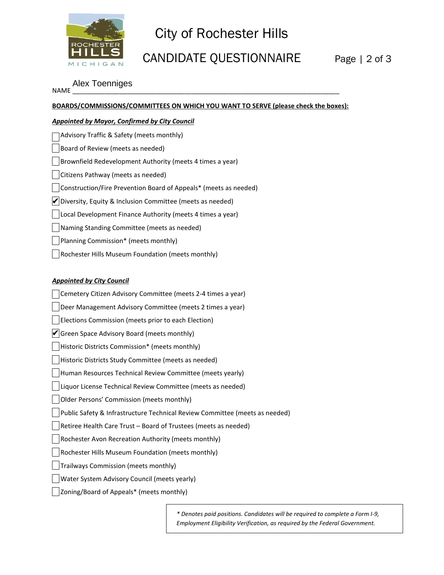

## City of Rochester Hills

## CANDIDATE QUESTIONNAIRE Page | 2 of 3

NAME \_\_\_\_\_\_\_\_\_\_\_\_\_\_\_\_\_\_\_\_\_\_\_\_\_\_\_\_\_\_\_\_\_\_\_\_\_\_\_\_\_\_\_\_\_\_\_\_\_\_\_\_\_\_\_\_\_\_\_\_\_\_\_\_\_\_\_\_\_\_\_\_\_\_ Alex Toenniges

|                                                                  | BOARDS/COMMISSIONS/COMMITTEES ON WHICH YOU WANT TO SERVE (please check the boxes): |
|------------------------------------------------------------------|------------------------------------------------------------------------------------|
| <b>Appointed by Mayor, Confirmed by City Council</b>             |                                                                                    |
| Advisory Traffic & Safety (meets monthly)                        |                                                                                    |
| Board of Review (meets as needed)                                |                                                                                    |
| Brownfield Redevelopment Authority (meets 4 times a year)        |                                                                                    |
| Citizens Pathway (meets as needed)                               |                                                                                    |
| Construction/Fire Prevention Board of Appeals* (meets as needed) |                                                                                    |
| Diversity, Equity & Inclusion Committee (meets as needed)        |                                                                                    |
| Local Development Finance Authority (meets 4 times a year)       |                                                                                    |
| Naming Standing Committee (meets as needed)                      |                                                                                    |
| Planning Commission* (meets monthly)                             |                                                                                    |
| Rochester Hills Museum Foundation (meets monthly)                |                                                                                    |
|                                                                  |                                                                                    |
| <b>Appointed by City Council</b>                                 |                                                                                    |
| Cemetery Citizen Advisory Committee (meets 2-4 times a year)     |                                                                                    |
| Deer Management Advisory Committee (meets 2 times a year)        |                                                                                    |
| Elections Commission (meets prior to each Election)              |                                                                                    |
| Green Space Advisory Board (meets monthly)                       |                                                                                    |
| Historic Districts Commission* (meets monthly)                   |                                                                                    |
| Historic Districts Study Committee (meets as needed)             |                                                                                    |
| Human Resources Technical Review Committee (meets yearly)        |                                                                                    |
| Liquor License Technical Review Committee (meets as needed)      |                                                                                    |
| Older Persons' Commission (meets monthly)                        |                                                                                    |
|                                                                  | Public Safety & Infrastructure Technical Review Committee (meets as needed)        |
| Retiree Health Care Trust - Board of Trustees (meets as needed)  |                                                                                    |
| Rochester Avon Recreation Authority (meets monthly)              |                                                                                    |
| Rochester Hills Museum Foundation (meets monthly)                |                                                                                    |
| Trailways Commission (meets monthly)                             |                                                                                    |
|                                                                  |                                                                                    |
| Water System Advisory Council (meets yearly)                     |                                                                                    |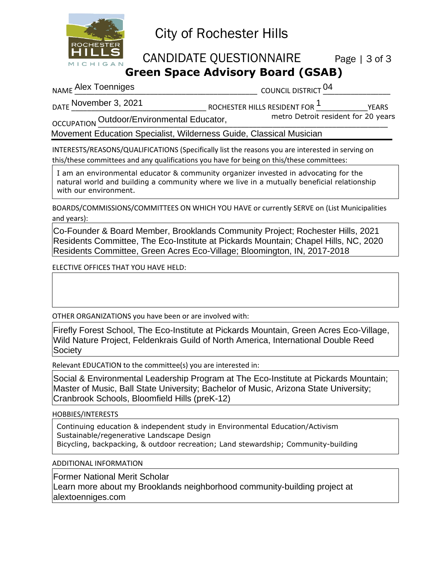

## City of Rochester Hills

CANDIDATE QUESTIONNAIRE Page | 3 of 3

NAME \_\_\_\_\_\_\_\_\_\_\_\_\_\_\_\_\_\_\_\_\_\_\_\_\_\_\_\_\_\_\_\_\_\_\_\_\_\_\_\_\_\_\_\_\_\_ COUNCIL DISTRICT \_\_\_\_\_\_\_\_\_\_\_\_\_\_\_\_\_ Alex Toenniges 04

DATE \_\_\_\_\_\_\_\_\_\_\_\_\_\_\_\_\_\_\_\_\_\_\_\_\_\_\_\_\_\_\_\_\_\_ ROCHESTER HILLS RESIDENT FOR \_\_\_\_\_\_\_\_\_\_\_\_\_YEARS November 3, 2021 1

OCCUPATION \_\_\_\_\_\_\_\_\_\_\_\_\_\_\_\_\_\_\_\_\_\_\_\_\_\_\_\_\_\_\_\_\_\_\_\_\_\_\_\_\_\_\_\_\_\_\_\_\_\_\_\_\_\_\_\_\_\_\_\_\_\_\_\_\_\_\_\_\_\_\_\_\_ Outdoor/Environmental Educator,

Movement Education Specialist, Wilderness Guide, Classical Musician

INTERESTS/REASONS/QUALIFICATIONS (Specifically list the reasons you are interested in serving on this/these committees and any qualifications you have for being on this/these committees:

I am an environmental educator & community organizer invested in advocating for the natural world and building a community where we live in a mutually beneficial relationship with our environment.

BOARDS/COMMISSIONS/COMMITTEES ON WHICH YOU HAVE or currently SERVE on (List Municipalities and years):

Co-Founder & Board Member, Brooklands Community Project; Rochester Hills, 2021 Residents Committee, The Eco-Institute at Pickards Mountain; Chapel Hills, NC, 2020 Residents Committee, Green Acres Eco-Village; Bloomington, IN, 2017-2018

ELECTIVE OFFICES THAT YOU HAVE HELD:

OTHER ORGANIZATIONS you have been or are involved with:

Firefly Forest School, The Eco-Institute at Pickards Mountain, Green Acres Eco-Village, Wild Nature Project, Feldenkrais Guild of North America, International Double Reed **Society** 

Relevant EDUCATION to the committee(s) you are interested in:

Social & Environmental Leadership Program at The Eco-Institute at Pickards Mountain; Master of Music, Ball State University; Bachelor of Music, Arizona State University; Cranbrook Schools, Bloomfield Hills (preK-12) **Green Space Advisory Board (GSAB)**<br>
council bistraction<br>
notation and a convention of the members of the members of the members of the<br>
notation of the members of the members of the members of the members of<br>
docularing N CCUPATION Outdoor/Environmental Educator, metro Detroit resident for 20 years<br>
Elovernent Education Specialist, Wilderness Guide, Classical Musician<br>
Trackpriss-prosponsitic Crions (Specialist) list the resears you are int

HOBBIES/INTERESTS

Continuing education & independent study in Environmental Education/Activism Sustainable/regenerative Landscape Design

ADDITIONAL INFORMATION

Former National Merit Scholar

Learn more about my Brooklands neighborhood community-building project at